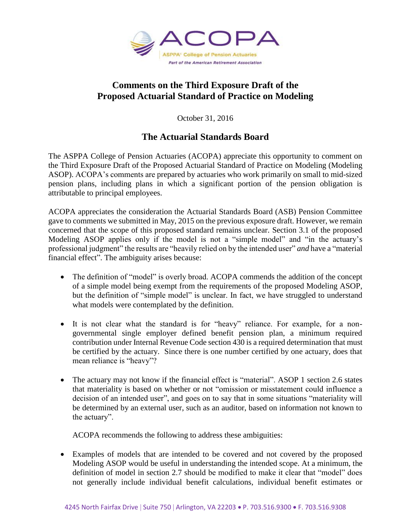

## **Comments on the Third Exposure Draft of the Proposed Actuarial Standard of Practice on Modeling**

October 31, 2016

## **The Actuarial Standards Board**

The ASPPA College of Pension Actuaries (ACOPA) appreciate this opportunity to comment on the Third Exposure Draft of the Proposed Actuarial Standard of Practice on Modeling (Modeling ASOP). ACOPA's comments are prepared by actuaries who work primarily on small to mid-sized pension plans, including plans in which a significant portion of the pension obligation is attributable to principal employees.

ACOPA appreciates the consideration the Actuarial Standards Board (ASB) Pension Committee gave to comments we submitted in May, 2015 on the previous exposure draft. However, we remain concerned that the scope of this proposed standard remains unclear. Section 3.1 of the proposed Modeling ASOP applies only if the model is not a "simple model" and "in the actuary's professional judgment" the results are "heavily relied on by the intended user" *and* have a "material financial effect". The ambiguity arises because:

- The definition of "model" is overly broad. ACOPA commends the addition of the concept of a simple model being exempt from the requirements of the proposed Modeling ASOP, but the definition of "simple model" is unclear. In fact, we have struggled to understand what models were contemplated by the definition.
- It is not clear what the standard is for "heavy" reliance. For example, for a nongovernmental single employer defined benefit pension plan, a minimum required contribution under Internal Revenue Code section 430 is a required determination that must be certified by the actuary. Since there is one number certified by one actuary, does that mean reliance is "heavy"?
- The actuary may not know if the financial effect is "material". ASOP 1 section 2.6 states that materiality is based on whether or not "omission or misstatement could influence a decision of an intended user", and goes on to say that in some situations "materiality will be determined by an external user, such as an auditor, based on information not known to the actuary".

ACOPA recommends the following to address these ambiguities:

 Examples of models that are intended to be covered and not covered by the proposed Modeling ASOP would be useful in understanding the intended scope. At a minimum, the definition of model in section 2.7 should be modified to make it clear that "model" does not generally include individual benefit calculations, individual benefit estimates or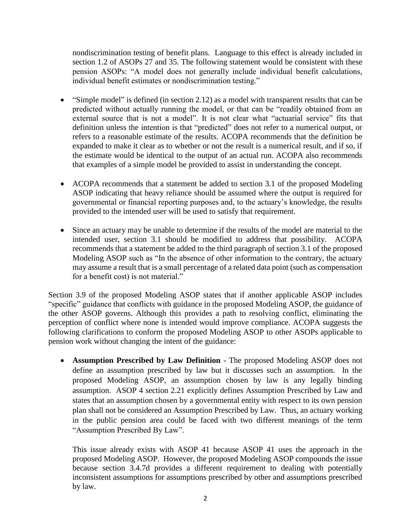nondiscrimination testing of benefit plans. Language to this effect is already included in section 1.2 of ASOPs 27 and 35. The following statement would be consistent with these pension ASOPs: "A model does not generally include individual benefit calculations, individual benefit estimates or nondiscrimination testing."

- "Simple model" is defined (in section 2.12) as a model with transparent results that can be predicted without actually running the model, or that can be "readily obtained from an external source that is not a model". It is not clear what "actuarial service" fits that definition unless the intention is that "predicted" does not refer to a numerical output, or refers to a reasonable estimate of the results. ACOPA recommends that the definition be expanded to make it clear as to whether or not the result is a numerical result, and if so, if the estimate would be identical to the output of an actual run. ACOPA also recommends that examples of a simple model be provided to assist in understanding the concept.
- ACOPA recommends that a statement be added to section 3.1 of the proposed Modeling ASOP indicating that heavy reliance should be assumed where the output is required for governmental or financial reporting purposes and, to the actuary's knowledge, the results provided to the intended user will be used to satisfy that requirement.
- Since an actuary may be unable to determine if the results of the model are material to the intended user, section 3.1 should be modified to address that possibility. ACOPA recommends that a statement be added to the third paragraph of section 3.1 of the proposed Modeling ASOP such as "In the absence of other information to the contrary, the actuary may assume a result that is a small percentage of a related data point (such as compensation for a benefit cost) is not material."

Section 3.9 of the proposed Modeling ASOP states that if another applicable ASOP includes "specific" guidance that conflicts with guidance in the proposed Modeling ASOP, the guidance of the other ASOP governs. Although this provides a path to resolving conflict, eliminating the perception of conflict where none is intended would improve compliance. ACOPA suggests the following clarifications to conform the proposed Modeling ASOP to other ASOPs applicable to pension work without changing the intent of the guidance:

 **Assumption Prescribed by Law Definition** - The proposed Modeling ASOP does not define an assumption prescribed by law but it discusses such an assumption. In the proposed Modeling ASOP, an assumption chosen by law is any legally binding assumption. ASOP 4 section 2.21 explicitly defines Assumption Prescribed by Law and states that an assumption chosen by a governmental entity with respect to its own pension plan shall not be considered an Assumption Prescribed by Law. Thus, an actuary working in the public pension area could be faced with two different meanings of the term "Assumption Prescribed By Law".

This issue already exists with ASOP 41 because ASOP 41 uses the approach in the proposed Modeling ASOP. However, the proposed Modeling ASOP compounds the issue because section 3.4.7d provides a different requirement to dealing with potentially inconsistent assumptions for assumptions prescribed by other and assumptions prescribed by law.